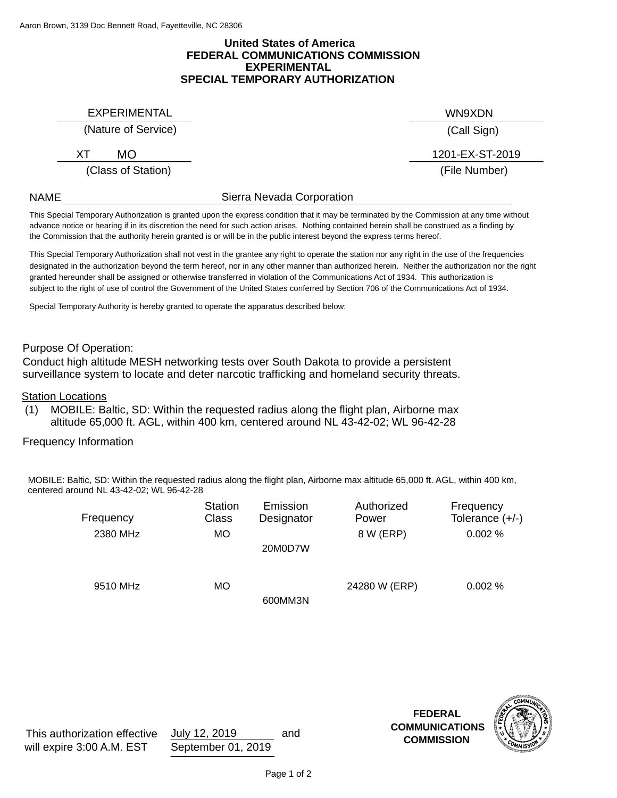### **FEDERAL COMMUNICATIONS COMMISSION United States of America EXPERIMENTAL SPECIAL TEMPORARY AUTHORIZATION**

EXPERIMENTAL WN9XDN

# (Nature of Service)

XT MO 1201-EX-ST-2019

(Class of Station)

(Call Sign)

(File Number)

NAME

# Sierra Nevada Corporation

the Commission that the authority herein granted is or will be in the public interest beyond the express terms hereof. advance notice or hearing if in its discretion the need for such action arises. Nothing contained herein shall be construed as a finding by This Special Temporary Authorization is granted upon the express condition that it may be terminated by the Commission at any time without

designated in the authorization beyond the term hereof, nor in any other manner than authorized herein. Neither the authorization nor the right granted hereunder shall be assigned or otherwise transferred in violation of the Communications Act of 1934. This authorization is subject to the right of use of control the Government of the United States conferred by Section 706 of the Communications Act of 1934. This Special Temporary Authorization shall not vest in the grantee any right to operate the station nor any right in the use of the frequencies

Special Temporary Authority is hereby granted to operate the apparatus described below:

### Purpose Of Operation:

Conduct high altitude MESH networking tests over South Dakota to provide a persistent surveillance system to locate and deter narcotic trafficking and homeland security threats.

Station Locations

MOBILE: Baltic, SD: Within the requested radius along the flight plan, Airborne max altitude 65,000 ft. AGL, within 400 km, centered around NL 43-42-02; WL 96-42-28 (1)

Frequency Information

MOBILE: Baltic, SD: Within the requested radius along the flight plan, Airborne max altitude 65,000 ft. AGL, within 400 km, centered around NL 43-42-02; WL 96-42-28

| Frequency | <b>Station</b><br><b>Class</b> | Emission<br>Designator | Authorized<br>Power | Frequency<br>Tolerance $(+/-)$ |
|-----------|--------------------------------|------------------------|---------------------|--------------------------------|
| 2380 MHz  | <b>MO</b>                      | 20M0D7W                | 8 W (ERP)           | 0.002%                         |
| 9510 MHz  | МO                             | 600MM3N                | 24280 W (ERP)       | 0.002%                         |

and **COMMISSION FEDERAL COMMUNICATIONS**